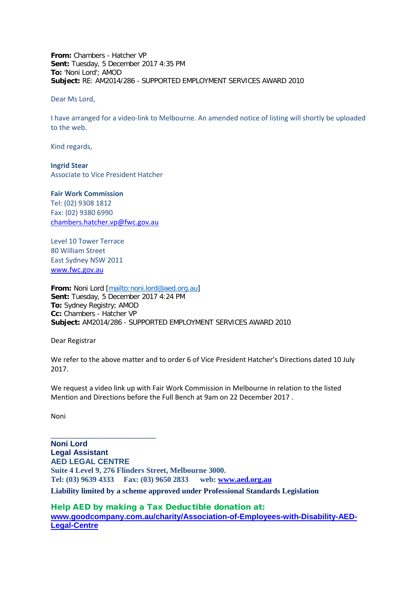**From:** Chambers - Hatcher VP **Sent:** Tuesday, 5 December 2017 4:35 PM **To:** 'Noni Lord'; AMOD **Subject:** RE: AM2014/286 - SUPPORTED EMPLOYMENT SERVICES AWARD 2010

Dear Ms Lord,

I have arranged for a video-link to Melbourne. An amended notice of listing will shortly be uploaded to the web.

Kind regards,

**Ingrid Stear** Associate to Vice President Hatcher

## **Fair Work Commission**

Tel: (02) 9308 1812 Fax: (02) 9380 6990 [chambers.hatcher.vp@fwc.gov.au](mailto:chambers.hatcher.vp@fwc.gov.au) 

\_\_\_\_\_\_\_\_\_\_\_\_\_\_\_\_\_\_\_\_\_\_\_\_\_\_\_\_\_\_

Level 10 Tower Terrace 80 William Street East Sydney NSW 2011 [www.fwc.gov.au](http://www.fwc.gov.au/)

**From:** Noni Lord [\[mailto:noni.lord@aed.org.au\]](mailto:noni.lord@aed.org.au) **Sent:** Tuesday, 5 December 2017 4:24 PM **To:** Sydney Registry; AMOD **Cc:** Chambers - Hatcher VP **Subject:** AM2014/286 - SUPPORTED EMPLOYMENT SERVICES AWARD 2010

Dear Registrar

We refer to the above matter and to order 6 of Vice President Hatcher's Directions dated 10 July 2017.

We request a video link up with Fair Work Commission in Melbourne in relation to the listed Mention and Directions before the Full Bench at 9am on 22 December 2017 .

Noni

**Noni Lord Legal Assistant AED LEGAL CENTRE Suite 4 Level 9, 276 Flinders Street, Melbourne 3000. Tel: (03) 9639 4333 Fax: (03) 9650 2833 web: www.aed.org.au Liability limited by a scheme approved under Professional Standards Legislation**

Help AED by making a Tax Deductible donation at: **[www.goodcompany.com.au/charity/Association-of-Employees-with-Disability-AED-](http://www.goodcompany.com.au/charity/Association-of-Employees-with-Disability-AED-Legal-Centre)[Legal-Centre](http://www.goodcompany.com.au/charity/Association-of-Employees-with-Disability-AED-Legal-Centre)**